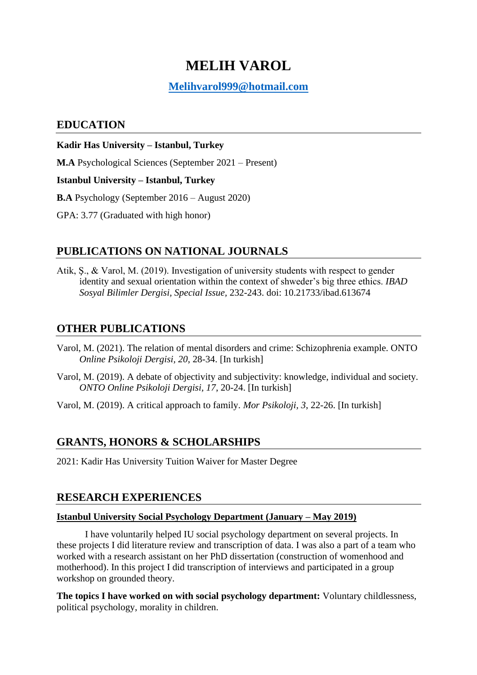# **MELIH VAROL**

### **[Melihvarol999@hotmail.com](mailto:Melihvarol999@hotmail.com)**

### **EDUCATION**

**Kadir Has University – Istanbul, Turkey M.A** Psychological Sciences (September 2021 – Present) **Istanbul University – Istanbul, Turkey B.A** Psychology (September 2016 – August 2020) GPA: 3.77 (Graduated with high honor)

# **PUBLICATIONS ON NATIONAL JOURNALS**

Atik, Ş., & Varol, M. (2019). Investigation of university students with respect to gender identity and sexual orientation within the context of shweder's big three ethics. *IBAD Sosyal Bilimler Dergisi, Special Issue,* 232-243. doi: 10.21733/ibad.613674

### **OTHER PUBLICATIONS**

- Varol, M. (2021). The relation of mental disorders and crime: Schizophrenia example. ONTO *Online Psikoloji Dergisi, 20*, 28-34. [In turkish]
- Varol, M. (2019). A debate of objectivity and subjectivity: knowledge, individual and society. *ONTO Online Psikoloji Dergisi, 17*, 20-24. [In turkish]

Varol, M. (2019). A critical approach to family. *Mor Psikoloji, 3*, 22-26. [In turkish]

### **GRANTS, HONORS & SCHOLARSHIPS**

2021: Kadir Has University Tuition Waiver for Master Degree

### **RESEARCH EXPERIENCES**

#### **Istanbul University Social Psychology Department (January – May 2019)**

I have voluntarily helped IU social psychology department on several projects. In these projects I did literature review and transcription of data. I was also a part of a team who worked with a research assistant on her PhD dissertation (construction of womenhood and motherhood). In this project I did transcription of interviews and participated in a group workshop on grounded theory.

**The topics I have worked on with social psychology department:** Voluntary childlessness, political psychology, morality in children.